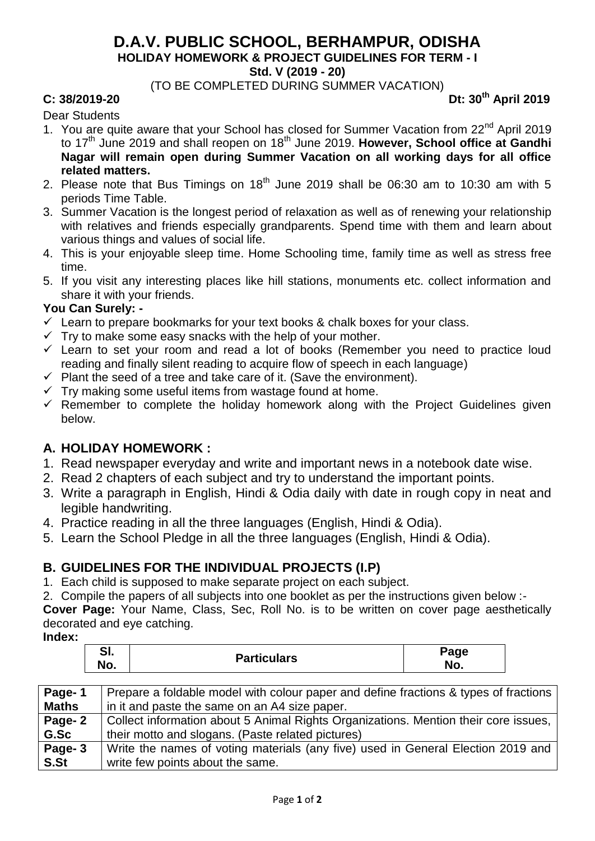## **D.A.V. PUBLIC SCHOOL, BERHAMPUR, ODISHA HOLIDAY HOMEWORK & PROJECT GUIDELINES FOR TERM - I Std. V (2019 - 20)**

(TO BE COMPLETED DURING SUMMER VACATION)

#### **C: 38/2019-20 Dt: 30th April 2019**

Dear Students

- 1. You are quite aware that your School has closed for Summer Vacation from 22<sup>nd</sup> April 2019 to 17<sup>th</sup> June 2019 and shall reopen on 18<sup>th</sup> June 2019. However, School office at Gandhi **Nagar will remain open during Summer Vacation on all working days for all office related matters.**
- 2. Please note that Bus Timings on  $18<sup>th</sup>$  June 2019 shall be 06:30 am to 10:30 am with 5 periods Time Table.
- 3. Summer Vacation is the longest period of relaxation as well as of renewing your relationship with relatives and friends especially grandparents. Spend time with them and learn about various things and values of social life.
- 4. This is your enjoyable sleep time. Home Schooling time, family time as well as stress free time.
- 5. If you visit any interesting places like hill stations, monuments etc. collect information and share it with your friends.

#### **You Can Surely: -**

- $\checkmark$  Learn to prepare bookmarks for your text books & chalk boxes for your class.
- $\checkmark$  Try to make some easy snacks with the help of your mother.
- $\checkmark$  Learn to set your room and read a lot of books (Remember you need to practice loud reading and finally silent reading to acquire flow of speech in each language)
- $\checkmark$  Plant the seed of a tree and take care of it. (Save the environment).
- $\checkmark$  Try making some useful items from wastage found at home.
- $\checkmark$  Remember to complete the holiday homework along with the Project Guidelines given below.

### **A. HOLIDAY HOMEWORK :**

- 1. Read newspaper everyday and write and important news in a notebook date wise.
- 2. Read 2 chapters of each subject and try to understand the important points.
- 3. Write a paragraph in English, Hindi & Odia daily with date in rough copy in neat and legible handwriting.
- 4. Practice reading in all the three languages (English, Hindi & Odia).
- 5. Learn the School Pledge in all the three languages (English, Hindi & Odia).

### **B. GUIDELINES FOR THE INDIVIDUAL PROJECTS (I.P)**

- 1. Each child is supposed to make separate project on each subject.
- 2. Compile the papers of all subjects into one booklet as per the instructions given below :-

**Cover Page:** Your Name, Class, Sec, Roll No. is to be written on cover page aesthetically decorated and eye catching.

**Index:**

| $\mathbf{C}$<br>$\mathsf{p}_{\text{age}}$<br>oı.<br><b>Particulars</b><br>No.<br>No. |
|--------------------------------------------------------------------------------------|
|--------------------------------------------------------------------------------------|

| Page-1       | Prepare a foldable model with colour paper and define fractions & types of fractions |
|--------------|--------------------------------------------------------------------------------------|
| <b>Maths</b> | in it and paste the same on an A4 size paper.                                        |
| Page-2       | Collect information about 5 Animal Rights Organizations. Mention their core issues,  |
| G.Sc         | their motto and slogans. (Paste related pictures)                                    |
| Page-3       | Write the names of voting materials (any five) used in General Election 2019 and     |
| S.St         | write few points about the same.                                                     |